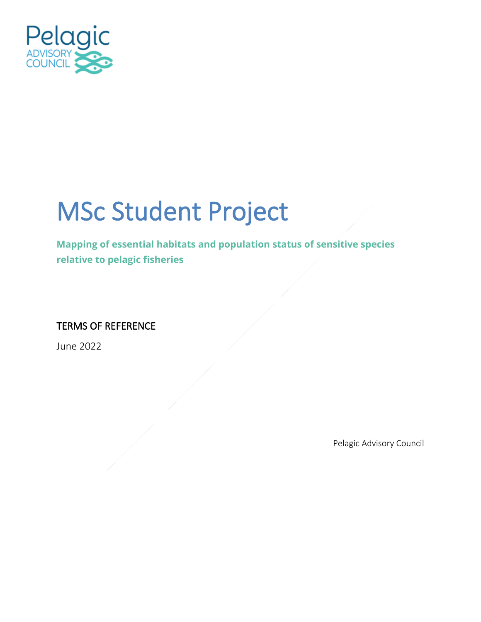

# MSc Student Project

**Mapping of essential habitats and population status of sensitive species relative to pelagic fisheries**

TERMS OF REFERENCE

June 2022

Pelagic Advisory Council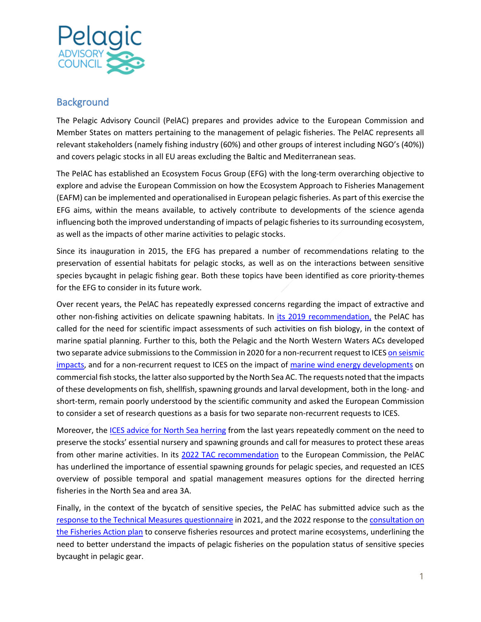

#### **Background**

The Pelagic Advisory Council (PelAC) prepares and provides advice to the European Commission and Member States on matters pertaining to the management of pelagic fisheries. The PelAC represents all relevant stakeholders (namely fishing industry (60%) and other groups of interest including NGO's (40%)) and covers pelagic stocks in all EU areas excluding the Baltic and Mediterranean seas.

The PelAC has established an Ecosystem Focus Group (EFG) with the long-term overarching objective to explore and advise the European Commission on how the Ecosystem Approach to Fisheries Management (EAFM) can be implemented and operationalised in European pelagic fisheries. As part of this exercise the EFG aims, within the means available, to actively contribute to developments of the science agenda influencing both the improved understanding of impacts of pelagic fisheries to its surrounding ecosystem, as well as the impacts of other marine activities to pelagic stocks.

Since its inauguration in 2015, the EFG has prepared a number of recommendations relating to the preservation of essential habitats for pelagic stocks, as well as on the interactions between sensitive species bycaught in pelagic fishing gear. Both these topics have been identified as core priority-themes for the EFG to consider in its future work.

Over recent years, the PelAC has repeatedly expressed concerns regarding the impact of extractive and other non-fishing activities on delicate spawning habitats. In [its 2019 recommendation,](https://www.pelagic-ac.org/wp-content/uploads/2022/01/1819PAC71-To-COM-ICES-wg-Underwater-Noise.pdf) the PelAC has called for the need for scientific impact assessments of such activities on fish biology, in the context of marine spatial planning. Further to this, both the Pelagic and the North Western Waters ACs developed two separate advice submissions to the Commission in 2020 for a non-recurrent request to ICES on seismic [impacts,](https://www.pelagic-ac.org/wp-content/uploads/2022/01/1920PAC87-NWWAC-PELAC-submission-for-ICES-NR-request-Seismic.pdf) and for a non-recurrent request to ICES on the impact of [marine wind energy developments](https://www.pelagic-ac.org/wp-content/uploads/2022/01/2021PAC06-NWWAC-PELAC-NSAC-submission-for-ICES-NR-request-Wind-Energy-developments.pdf) on commercial fish stocks, the latter also supported by the North Sea AC. The requests noted that the impacts of these developments on fish, shellfish, spawning grounds and larval development, both in the long- and short-term, remain poorly understood by the scientific community and asked the European Commission to consider a set of research questions as a basis for two separate non-recurrent requests to ICES.

Moreover, the [ICES advice for North Sea herring](https://www.ices.dk/sites/pub/Publication%20Reports/Advice/2019/2019/her.27.3a47d.pdf) from the last years repeatedly comment on the need to preserve the stocks' essential nursery and spawning grounds and call for measures to protect these areas from other marine activities. In its [2022 TAC recommendation](file:///C:/Users/A.%20Kats/PFA/Prac%20-%20Documents/2021-2022/Corr%20Advice/2122PAC18%20Letter%20to%20COM%20FAP%20Questionnaire.pdf) to the European Commission, the PelAC has underlined the importance of essential spawning grounds for pelagic species, and requested an ICES overview of possible temporal and spatial management measures options for the directed herring fisheries in the North Sea and area 3A.

Finally, in the context of the bycatch of sensitive species, the PelAC has submitted advice such as the [response to the Technical Measures questionnaire](file:///C:/Users/A.%20Kats/PFA/Prac%20-%20Documents/2020-2021/Corr%20Advice/2021PAC13%20Letter%20to%20COM%20Technical%20Measures%20Regulation%20Questionnaire.pdf) in 2021, and the 2022 response to th[e consultation on](file:///C:/Users/A.%20Kats/PFA/Prac%20-%20Documents/2021-2022/Corr%20Advice/2122PAC18%20Letter%20to%20COM%20FAP%20Questionnaire.pdf)  [the Fisheries Action plan](file:///C:/Users/A.%20Kats/PFA/Prac%20-%20Documents/2021-2022/Corr%20Advice/2122PAC18%20Letter%20to%20COM%20FAP%20Questionnaire.pdf) to conserve fisheries resources and protect marine ecosystems, underlining the need to better understand the impacts of pelagic fisheries on the population status of sensitive species bycaught in pelagic gear.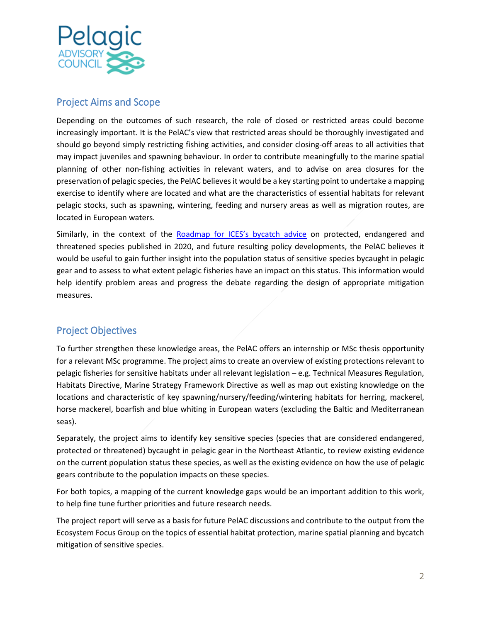

#### Project Aims and Scope

Depending on the outcomes of such research, the role of closed or restricted areas could become increasingly important. It is the PelAC's view that restricted areas should be thoroughly investigated and should go beyond simply restricting fishing activities, and consider closing-off areas to all activities that may impact juveniles and spawning behaviour. In order to contribute meaningfully to the marine spatial planning of other non-fishing activities in relevant waters, and to advise on area closures for the preservation of pelagic species, the PelAC believes it would be a key starting point to undertake a mapping exercise to identify where are located and what are the characteristics of essential habitats for relevant pelagic stocks, such as spawning, wintering, feeding and nursery areas as well as migration routes, are located in European waters.

Similarly, in the context of the [Roadmap for ICES's bycatch advice](https://www.ices.dk/sites/pub/Publication%20Reports/Advice/2020/2020/Roadmap_ICES_Bycatch_Advice.pdf) on protected, endangered and threatened species published in 2020, and future resulting policy developments, the PelAC believes it would be useful to gain further insight into the population status of sensitive species bycaught in pelagic gear and to assess to what extent pelagic fisheries have an impact on this status. This information would help identify problem areas and progress the debate regarding the design of appropriate mitigation measures.

# Project Objectives

To further strengthen these knowledge areas, the PelAC offers an internship or MSc thesis opportunity for a relevant MSc programme. The project aims to create an overview of existing protections relevant to pelagic fisheries for sensitive habitats under all relevant legislation – e.g. Technical Measures Regulation, Habitats Directive, Marine Strategy Framework Directive as well as map out existing knowledge on the locations and characteristic of key spawning/nursery/feeding/wintering habitats for herring, mackerel, horse mackerel, boarfish and blue whiting in European waters (excluding the Baltic and Mediterranean seas).

Separately, the project aims to identify key sensitive species (species that are considered endangered, protected or threatened) bycaught in pelagic gear in the Northeast Atlantic, to review existing evidence on the current population status these species, as well as the existing evidence on how the use of pelagic gears contribute to the population impacts on these species.

For both topics, a mapping of the current knowledge gaps would be an important addition to this work, to help fine tune further priorities and future research needs.

The project report will serve as a basis for future PelAC discussions and contribute to the output from the Ecosystem Focus Group on the topics of essential habitat protection, marine spatial planning and bycatch mitigation of sensitive species.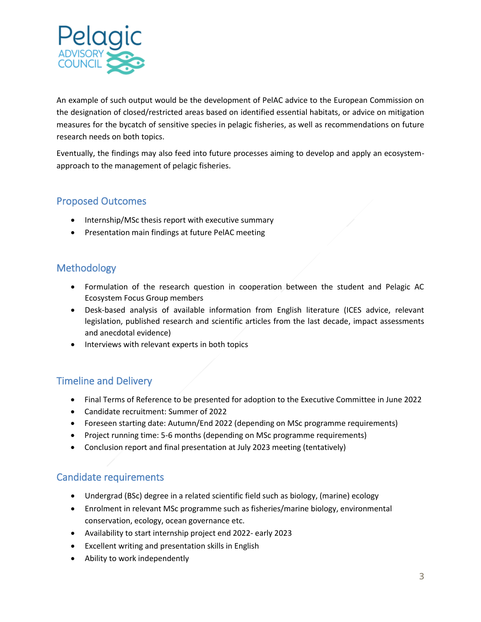

An example of such output would be the development of PelAC advice to the European Commission on the designation of closed/restricted areas based on identified essential habitats, or advice on mitigation measures for the bycatch of sensitive species in pelagic fisheries, as well as recommendations on future research needs on both topics.

Eventually, the findings may also feed into future processes aiming to develop and apply an ecosystemapproach to the management of pelagic fisheries.

#### Proposed Outcomes

- Internship/MSc thesis report with executive summary
- Presentation main findings at future PelAC meeting

# Methodology

- Formulation of the research question in cooperation between the student and Pelagic AC Ecosystem Focus Group members
- Desk-based analysis of available information from English literature (ICES advice, relevant legislation, published research and scientific articles from the last decade, impact assessments and anecdotal evidence)
- Interviews with relevant experts in both topics

# Timeline and Delivery

- Final Terms of Reference to be presented for adoption to the Executive Committee in June 2022
- Candidate recruitment: Summer of 2022
- Foreseen starting date: Autumn/End 2022 (depending on MSc programme requirements)
- Project running time: 5-6 months (depending on MSc programme requirements)
- Conclusion report and final presentation at July 2023 meeting (tentatively)

# Candidate requirements

- Undergrad (BSc) degree in a related scientific field such as biology, (marine) ecology
- Enrolment in relevant MSc programme such as fisheries/marine biology, environmental conservation, ecology, ocean governance etc.
- Availability to start internship project end 2022- early 2023
- Excellent writing and presentation skills in English
- Ability to work independently